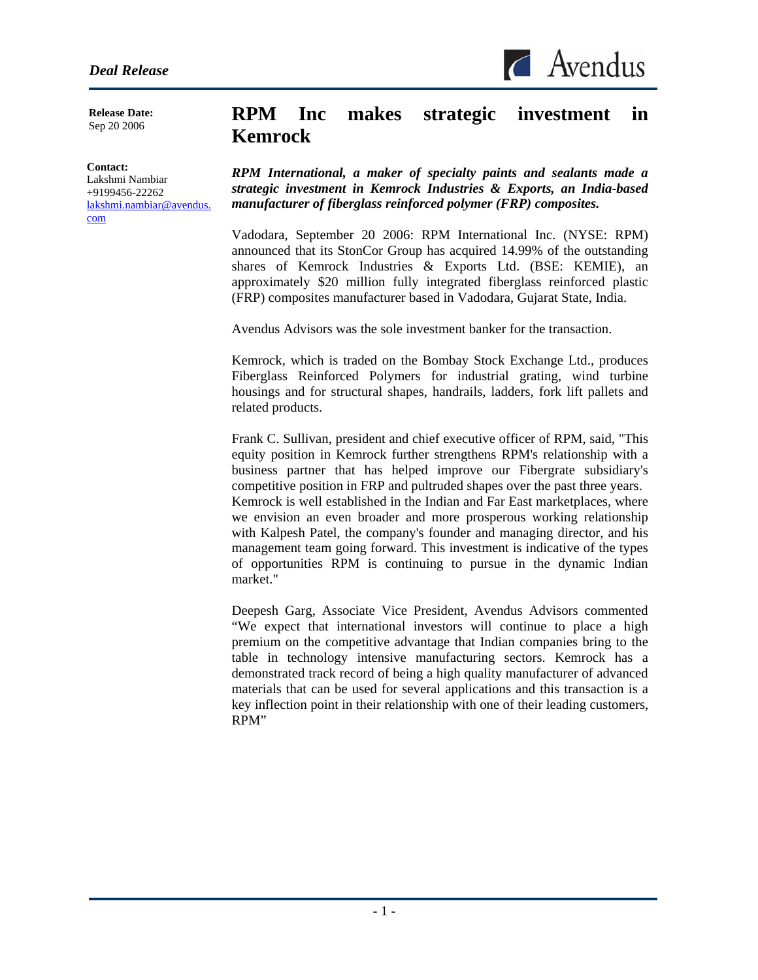$\triangle$  Avendus

**Release Date:**  Sep 20 2006

#### **Contact:**

l

Lakshmi Nambiar +9199456-22262 lakshmi.nambiar@avendus. com

# **RPM Inc makes strategic investment in Kemrock**

*RPM International, a maker of specialty paints and sealants made a strategic investment in Kemrock Industries & Exports, an India-based manufacturer of fiberglass reinforced polymer (FRP) composites.* 

Vadodara, September 20 2006: RPM International Inc. (NYSE: RPM) announced that its StonCor Group has acquired 14.99% of the outstanding shares of Kemrock Industries & Exports Ltd. (BSE: KEMIE), an approximately \$20 million fully integrated fiberglass reinforced plastic (FRP) composites manufacturer based in Vadodara, Gujarat State, India.

Avendus Advisors was the sole investment banker for the transaction.

Kemrock, which is traded on the Bombay Stock Exchange Ltd., produces Fiberglass Reinforced Polymers for industrial grating, wind turbine housings and for structural shapes, handrails, ladders, fork lift pallets and related products.

Frank C. Sullivan, president and chief executive officer of RPM, said, "This equity position in Kemrock further strengthens RPM's relationship with a business partner that has helped improve our Fibergrate subsidiary's competitive position in FRP and pultruded shapes over the past three years. Kemrock is well established in the Indian and Far East marketplaces, where we envision an even broader and more prosperous working relationship with Kalpesh Patel, the company's founder and managing director, and his management team going forward. This investment is indicative of the types of opportunities RPM is continuing to pursue in the dynamic Indian market."

Deepesh Garg, Associate Vice President, Avendus Advisors commented "We expect that international investors will continue to place a high premium on the competitive advantage that Indian companies bring to the table in technology intensive manufacturing sectors. Kemrock has a demonstrated track record of being a high quality manufacturer of advanced materials that can be used for several applications and this transaction is a key inflection point in their relationship with one of their leading customers, RPM"